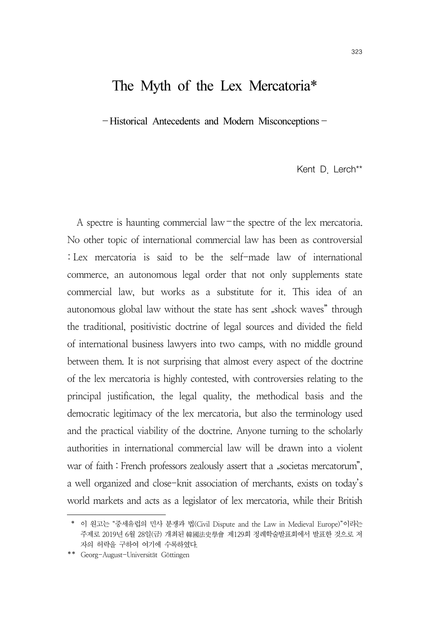## The Myth of the Lex Mercatoria\*

-Historical Antecedents and Modern Misconceptions-

Kent D. Lerch\*\*

A spectre is haunting commercial law-the spectre of the lex mercatoria. No other topic of international commercial law has been as controversial : Lex mercatoria is said to be the self-made law of international commerce, an autonomous legal order that not only supplements state commercial law, but works as a substitute for it. This idea of an autonomous global law without the state has sent "shock waves" through the traditional, positivistic doctrine of legal sources and divided the field of international business lawyers into two camps, with no middle ground between them. It is not surprising that almost every aspect of the doctrine of the lex mercatoria is highly contested, with controversies relating to the principal justification, the legal quality, the methodical basis and the democratic legitimacy of the lex mercatoria, but also the terminology used and the practical viability of the doctrine. Anyone turning to the scholarly authorities in international commercial law will be drawn into a violent war of faith : French professors zealously assert that a "societas mercatorum", a well organized and close-knit association of merchants, exists on today's world markets and acts as a legislator of lex mercatoria, while their British

 <sup>\*</sup> 이 원고는 "중세유럽의 민사 분쟁과 법(Civil Dispute and the Law in Medieval Europe)"이라는 주제로 2019년 6월 28일(금) 개최된 韓國法史學會 제129회 정례학술발표회에서 발표한 것으로 저 자의 허락을 구하여 여기에 수록하였다.

<sup>\*\*</sup> Georg-August-Universität Göttingen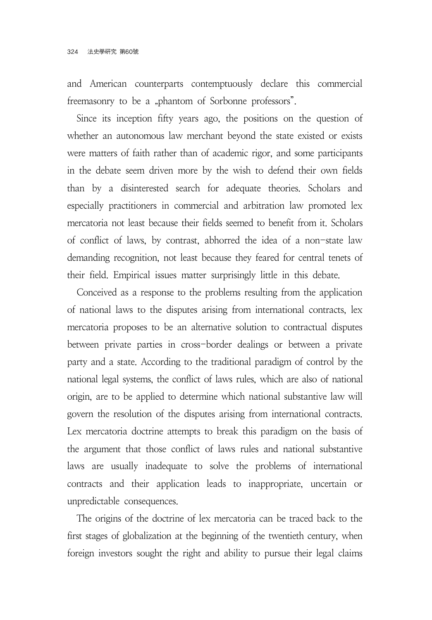and American counterparts contemptuously declare this commercial freemasonry to be a "phantom of Sorbonne professors".

Since its inception fifty years ago, the positions on the question of whether an autonomous law merchant beyond the state existed or exists were matters of faith rather than of academic rigor, and some participants in the debate seem driven more by the wish to defend their own fields than by a disinterested search for adequate theories. Scholars and especially practitioners in commercial and arbitration law promoted lex mercatoria not least because their fields seemed to benefit from it. Scholars of conflict of laws, by contrast, abhorred the idea of a non-state law demanding recognition, not least because they feared for central tenets of their field. Empirical issues matter surprisingly little in this debate.

Conceived as a response to the problems resulting from the application of national laws to the disputes arising from international contracts, lex mercatoria proposes to be an alternative solution to contractual disputes between private parties in cross-border dealings or between a private party and a state. According to the traditional paradigm of control by the national legal systems, the conflict of laws rules, which are also of national origin, are to be applied to determine which national substantive law will govern the resolution of the disputes arising from international contracts. Lex mercatoria doctrine attempts to break this paradigm on the basis of the argument that those conflict of laws rules and national substantive laws are usually inadequate to solve the problems of international contracts and their application leads to inappropriate, uncertain or unpredictable consequences.

The origins of the doctrine of lex mercatoria can be traced back to the first stages of globalization at the beginning of the twentieth century, when foreign investors sought the right and ability to pursue their legal claims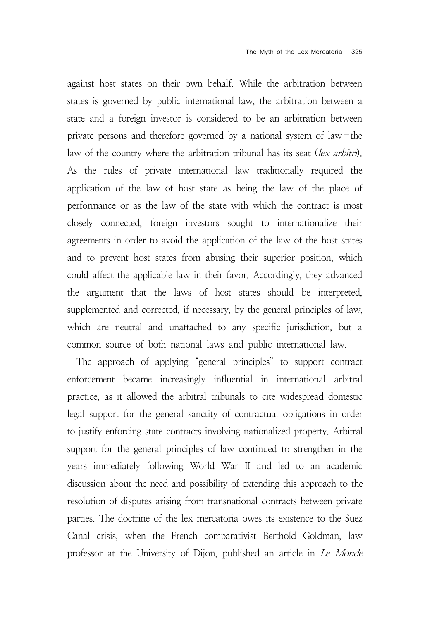against host states on their own behalf. While the arbitration between states is governed by public international law, the arbitration between a state and a foreign investor is considered to be an arbitration between private persons and therefore governed by a national system of law-the law of the country where the arbitration tribunal has its seat (lex arbitri). As the rules of private international law traditionally required the application of the law of host state as being the law of the place of performance or as the law of the state with which the contract is most closely connected, foreign investors sought to internationalize their agreements in order to avoid the application of the law of the host states and to prevent host states from abusing their superior position, which could affect the applicable law in their favor. Accordingly, they advanced the argument that the laws of host states should be interpreted, supplemented and corrected, if necessary, by the general principles of law, which are neutral and unattached to any specific jurisdiction, but a common source of both national laws and public international law.

The approach of applying "general principles" to support contract enforcement became increasingly influential in international arbitral practice, as it allowed the arbitral tribunals to cite widespread domestic legal support for the general sanctity of contractual obligations in order to justify enforcing state contracts involving nationalized property. Arbitral support for the general principles of law continued to strengthen in the years immediately following World War II and led to an academic discussion about the need and possibility of extending this approach to the resolution of disputes arising from transnational contracts between private parties. The doctrine of the lex mercatoria owes its existence to the Suez Canal crisis, when the French comparativist Berthold Goldman, law professor at the University of Dijon, published an article in Le Monde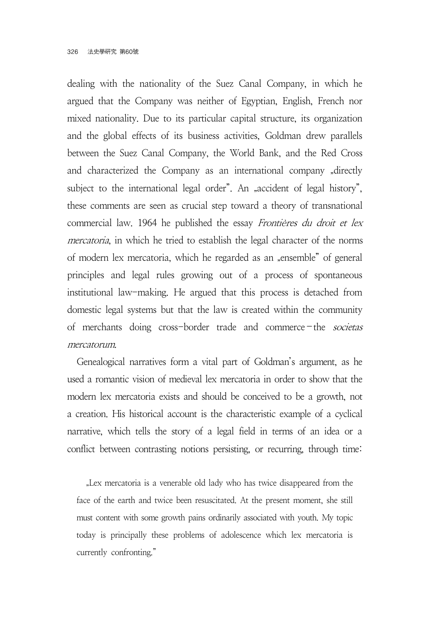dealing with the nationality of the Suez Canal Company, in which he argued that the Company was neither of Egyptian, English, French nor mixed nationality. Due to its particular capital structure, its organization and the global effects of its business activities, Goldman drew parallels between the Suez Canal Company, the World Bank, and the Red Cross and characterized the Company as an international company "directly subject to the international legal order". An "accident of legal history", these comments are seen as crucial step toward a theory of transnational commercial law. 1964 he published the essay *Frontières du droit et lex* mercatoria, in which he tried to establish the legal character of the norms of modern lex mercatoria, which he regarded as an "ensemble" of general principles and legal rules growing out of a process of spontaneous institutional law-making. He argued that this process is detached from domestic legal systems but that the law is created within the community of merchants doing cross-border trade and commerce-the *societas* mercatorum.

Genealogical narratives form a vital part of Goldman's argument, as he used a romantic vision of medieval lex mercatoria in order to show that the modern lex mercatoria exists and should be conceived to be a growth, not a creation. His historical account is the characteristic example of a cyclical narrative, which tells the story of a legal field in terms of an idea or a conflict between contrasting notions persisting, or recurring, through time:

"Lex mercatoria is a venerable old lady who has twice disappeared from the face of the earth and twice been resuscitated. At the present moment, she still must content with some growth pains ordinarily associated with youth. My topic today is principally these problems of adolescence which lex mercatoria is currently confronting."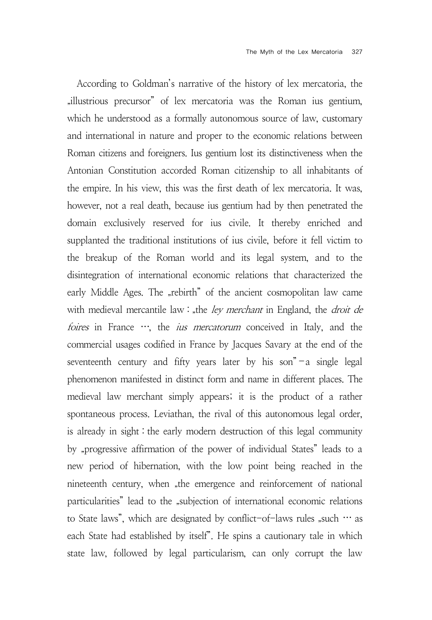According to Goldman's narrative of the history of lex mercatoria, the "illustrious precursor" of lex mercatoria was the Roman ius gentium, which he understood as a formally autonomous source of law, customary and international in nature and proper to the economic relations between Roman citizens and foreigners. Ius gentium lost its distinctiveness when the Antonian Constitution accorded Roman citizenship to all inhabitants of the empire. In his view, this was the first death of lex mercatoria. It was, however, not a real death, because ius gentium had by then penetrated the domain exclusively reserved for ius civile. It thereby enriched and supplanted the traditional institutions of ius civile, before it fell victim to the breakup of the Roman world and its legal system, and to the disintegration of international economic relations that characterized the early Middle Ages. The "rebirth" of the ancient cosmopolitan law came with medieval mercantile law : "the *ley merchant* in England, the *droit de* foires in France …, the *ius mercatorum* conceived in Italy, and the commercial usages codified in France by Jacques Savary at the end of the seventeenth century and fifty years later by his son"-a single legal phenomenon manifested in distinct form and name in different places. The medieval law merchant simply appears; it is the product of a rather spontaneous process. Leviathan, the rival of this autonomous legal order, is already in sight : the early modern destruction of this legal community by "progressive affirmation of the power of individual States" leads to a new period of hibernation, with the low point being reached in the nineteenth century, when "the emergence and reinforcement of national particularities" lead to the "subjection of international economic relations to State laws", which are designated by conflict-of-laws rules "such  $\cdots$  as each State had established by itself". He spins a cautionary tale in which state law, followed by legal particularism, can only corrupt the law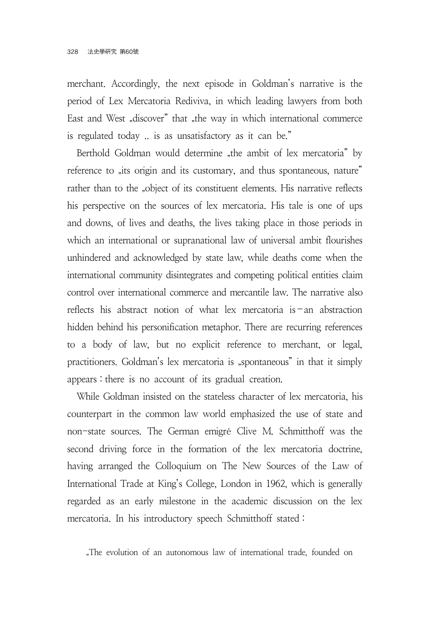merchant. Accordingly, the next episode in Goldman's narrative is the period of Lex Mercatoria Rediviva, in which leading lawyers from both East and West "discover" that "the way in which international commerce is regulated today .. is as unsatisfactory as it can be."

Berthold Goldman would determine "the ambit of lex mercatoria" by reference to "its origin and its customary, and thus spontaneous, nature" rather than to the "object of its constituent elements. His narrative reflects his perspective on the sources of lex mercatoria. His tale is one of ups and downs, of lives and deaths, the lives taking place in those periods in which an international or supranational law of universal ambit flourishes unhindered and acknowledged by state law, while deaths come when the international community disintegrates and competing political entities claim control over international commerce and mercantile law. The narrative also reflects his abstract notion of what lex mercatoria is  $\pi$  abstraction hidden behind his personification metaphor. There are recurring references to a body of law, but no explicit reference to merchant, or legal, practitioners. Goldman's lex mercatoria is "spontaneous" in that it simply appears : there is no account of its gradual creation.

While Goldman insisted on the stateless character of lex mercatoria, his counterpart in the common law world emphasized the use of state and non-state sources. The German emigré Clive M. Schmitthoff was the second driving force in the formation of the lex mercatoria doctrine, having arranged the Colloquium on The New Sources of the Law of International Trade at King's College, London in 1962, which is generally regarded as an early milestone in the academic discussion on the lex mercatoria. In his introductory speech Schmitthoff stated :

. The evolution of an autonomous law of international trade, founded on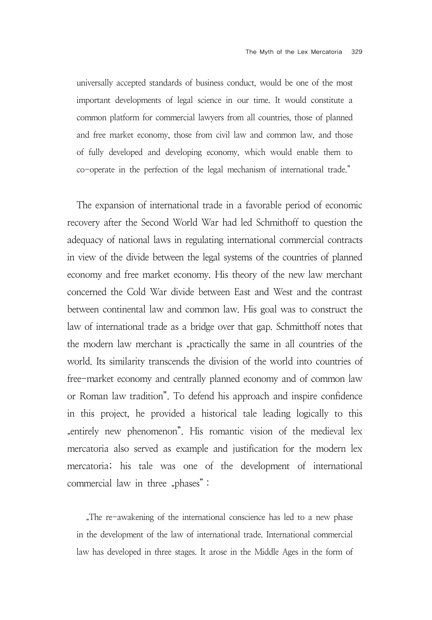universally accepted standards of business conduct, would be one of the most important developments of legal science in our time. It would constitute a common platform for commercial lawyers from all countries, those of planned and free market economy, those from civil law and common law, and those of fully developed and developing economy, which would enable them to co-operate in the perfection of the legal mechanism of international trade."

The expansion of international trade in a favorable period of economic recovery after the Second World War had led Schmithoff to question the adequacy of national laws in regulating international commercial contracts in view of the divide between the legal systems of the countries of planned economy and free market economy. His theory of the new law merchant concerned the Cold War divide between East and West and the contrast between continental law and common law. His goal was to construct the law of international trade as a bridge over that gap. Schmitthoff notes that the modern law merchant is "practically the same in all countries of the world. Its similarity transcends the division of the world into countries of free-market economy and centrally planned economy and of common law or Roman law tradition". To defend his approach and inspire confidence in this project, he provided a historical tale leading logically to this "entirely new phenomenon". His romantic vision of the medieval lex mercatoria also served as example and justification for the modern lex mercatoria; his tale was one of the development of international commercial law in three "phases":

"The re-awakening of the international conscience has led to a new phase in the development of the law of international trade. International commercial law has developed in three stages. It arose in the Middle Ages in the form of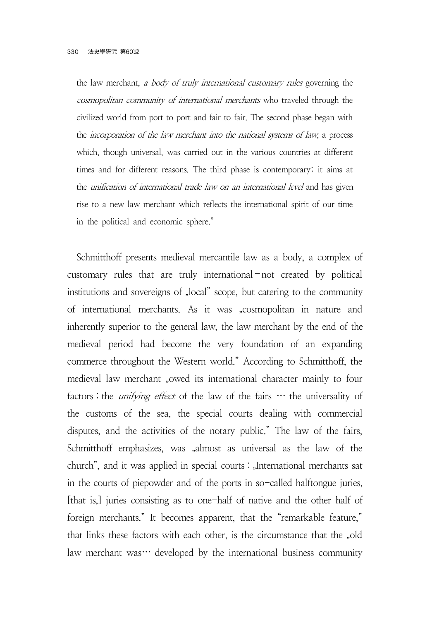the law merchant, a body of truly international customary rules governing the cosmopolitan community of international merchants who traveled through the civilized world from port to port and fair to fair. The second phase began with the incorporation of the law merchant into the national systems of law, a process which, though universal, was carried out in the various countries at different times and for different reasons. The third phase is contemporary; it aims at the *unification of international trade law on an international level* and has given rise to a new law merchant which reflects the international spirit of our time in the political and economic sphere."

Schmitthoff presents medieval mercantile law as a body, a complex of customary rules that are truly international-not created by political institutions and sovereigns of "local" scope, but catering to the community of international merchants. As it was "cosmopolitan in nature and inherently superior to the general law, the law merchant by the end of the medieval period had become the very foundation of an expanding commerce throughout the Western world." According to Schmitthoff, the medieval law merchant "owed its international character mainly to four factors : the *unifying effect* of the law of the fairs  $\cdots$  the universality of the customs of the sea, the special courts dealing with commercial disputes, and the activities of the notary public." The law of the fairs, Schmitthoff emphasizes, was "almost as universal as the law of the church", and it was applied in special courts  $\cdot$  "International merchants sat in the courts of piepowder and of the ports in so-called halftongue juries, [that is,] juries consisting as to one-half of native and the other half of foreign merchants." It becomes apparent, that the "remarkable feature," that links these factors with each other, is the circumstance that the "old law merchant was $\cdots$  developed by the international business community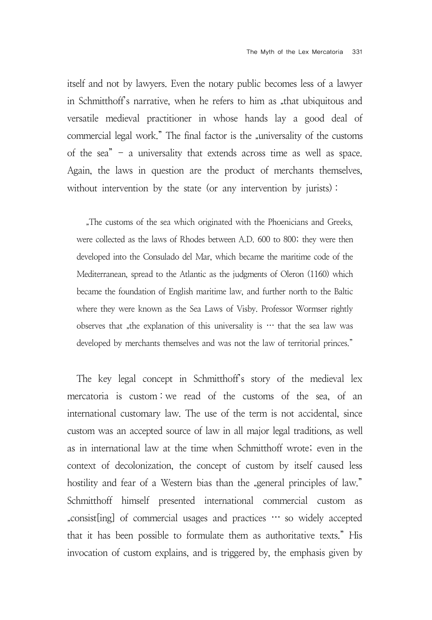itself and not by lawyers. Even the notary public becomes less of a lawyer in Schmitthoff's narrative, when he refers to him as "that ubiquitous and versatile medieval practitioner in whose hands lay a good deal of commercial legal work." The final factor is the "universality of the customs of the sea"  $-$  a universality that extends across time as well as space. Again, the laws in question are the product of merchants themselves, without intervention by the state (or any intervention by jurists) :

"The customs of the sea which originated with the Phoenicians and Greeks, were collected as the laws of Rhodes between A.D. 600 to 800; they were then developed into the Consulado del Mar, which became the maritime code of the Mediterranean, spread to the Atlantic as the judgments of Oleron (1160) which became the foundation of English maritime law, and further north to the Baltic where they were known as the Sea Laws of Visby. Professor Wormser rightly observes that "the explanation of this universality is  $\cdots$  that the sea law was developed by merchants themselves and was not the law of territorial princes."

The key legal concept in Schmitthoff's story of the medieval lex mercatoria is custom : we read of the customs of the sea, of an international customary law. The use of the term is not accidental, since custom was an accepted source of law in all major legal traditions, as well as in international law at the time when Schmitthoff wrote; even in the context of decolonization, the concept of custom by itself caused less hostility and fear of a Western bias than the "general principles of law." Schmitthoff himself presented international commercial custom as "consist[ing] of commercial usages and practices … so widely accepted that it has been possible to formulate them as authoritative texts." His invocation of custom explains, and is triggered by, the emphasis given by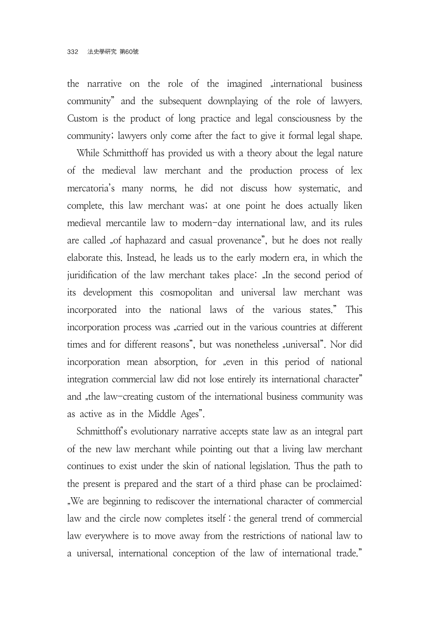the narrative on the role of the imagined "international business community" and the subsequent downplaying of the role of lawyers. Custom is the product of long practice and legal consciousness by the community; lawyers only come after the fact to give it formal legal shape.

While Schmitthoff has provided us with a theory about the legal nature of the medieval law merchant and the production process of lex mercatoria's many norms, he did not discuss how systematic, and complete, this law merchant was; at one point he does actually liken medieval mercantile law to modern-day international law, and its rules are called "of haphazard and casual provenance", but he does not really elaborate this. Instead, he leads us to the early modern era, in which the juridification of the law merchant takes place: "In the second period of its development this cosmopolitan and universal law merchant was incorporated into the national laws of the various states." This incorporation process was "carried out in the various countries at different times and for different reasons", but was nonetheless "universal". Nor did incorporation mean absorption, for "even in this period of national integration commercial law did not lose entirely its international character" and "the law-creating custom of the international business community was as active as in the Middle Ages".

Schmitthoff's evolutionary narrative accepts state law as an integral part of the new law merchant while pointing out that a living law merchant continues to exist under the skin of national legislation. Thus the path to the present is prepared and the start of a third phase can be proclaimed: "We are beginning to rediscover the international character of commercial law and the circle now completes itself : the general trend of commercial law everywhere is to move away from the restrictions of national law to a universal, international conception of the law of international trade."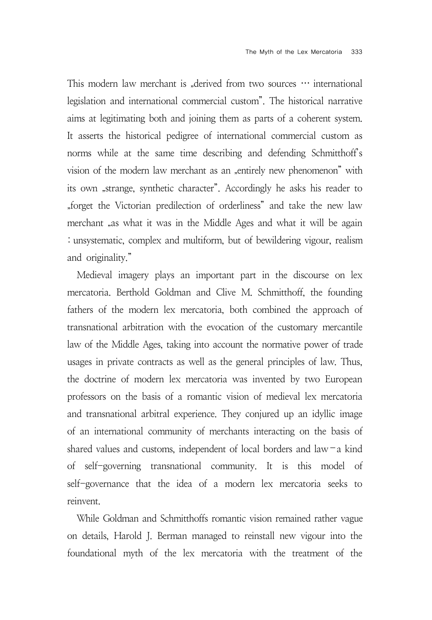This modern law merchant is  $\Delta$ -derived from two sources  $\cdots$  international legislation and international commercial custom". The historical narrative aims at legitimating both and joining them as parts of a coherent system. It asserts the historical pedigree of international commercial custom as norms while at the same time describing and defending Schmitthoff's vision of the modern law merchant as an "entirely new phenomenon" with its own "strange, synthetic character". Accordingly he asks his reader to "forget the Victorian predilection of orderliness" and take the new law merchant "as what it was in the Middle Ages and what it will be again : unsystematic, complex and multiform, but of bewildering vigour, realism and originality."

Medieval imagery plays an important part in the discourse on lex mercatoria. Berthold Goldman and Clive M. Schmitthoff, the founding fathers of the modern lex mercatoria, both combined the approach of transnational arbitration with the evocation of the customary mercantile law of the Middle Ages, taking into account the normative power of trade usages in private contracts as well as the general principles of law. Thus, the doctrine of modern lex mercatoria was invented by two European professors on the basis of a romantic vision of medieval lex mercatoria and transnational arbitral experience. They conjured up an idyllic image of an international community of merchants interacting on the basis of shared values and customs, independent of local borders and  $law - a$  kind of self-governing transnational community. It is this model of self-governance that the idea of a modern lex mercatoria seeks to reinvent.

While Goldman and Schmitthoffs romantic vision remained rather vague on details, Harold J. Berman managed to reinstall new vigour into the foundational myth of the lex mercatoria with the treatment of the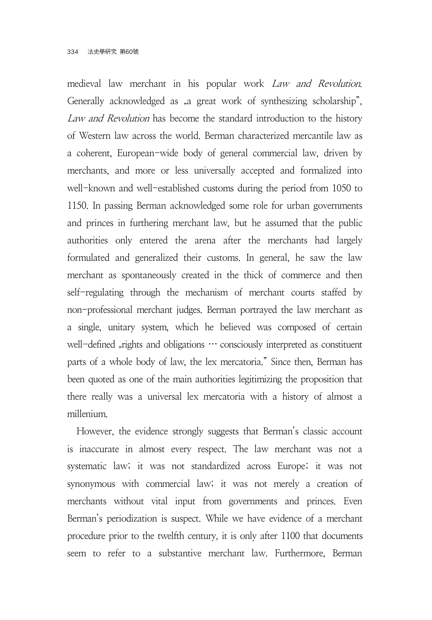medieval law merchant in his popular work Law and Revolution. Generally acknowledged as "a great work of synthesizing scholarship", Law and Revolution has become the standard introduction to the history of Western law across the world. Berman characterized mercantile law as a coherent, European-wide body of general commercial law, driven by merchants, and more or less universally accepted and formalized into well-known and well-established customs during the period from 1050 to 1150. In passing Berman acknowledged some role for urban governments and princes in furthering merchant law, but he assumed that the public authorities only entered the arena after the merchants had largely formulated and generalized their customs. In general, he saw the law merchant as spontaneously created in the thick of commerce and then self-regulating through the mechanism of merchant courts staffed by non-professional merchant judges. Berman portrayed the law merchant as a single, unitary system, which he believed was composed of certain well-defined "rights and obligations … consciously interpreted as constituent parts of a whole body of law, the lex mercatoria." Since then, Berman has been quoted as one of the main authorities legitimizing the proposition that there really was a universal lex mercatoria with a history of almost a millenium.

However, the evidence strongly suggests that Berman's classic account is inaccurate in almost every respect. The law merchant was not a systematic law; it was not standardized across Europe; it was not synonymous with commercial law; it was not merely a creation of merchants without vital input from governments and princes. Even Berman's periodization is suspect. While we have evidence of a merchant procedure prior to the twelfth century, it is only after 1100 that documents seem to refer to a substantive merchant law. Furthermore, Berman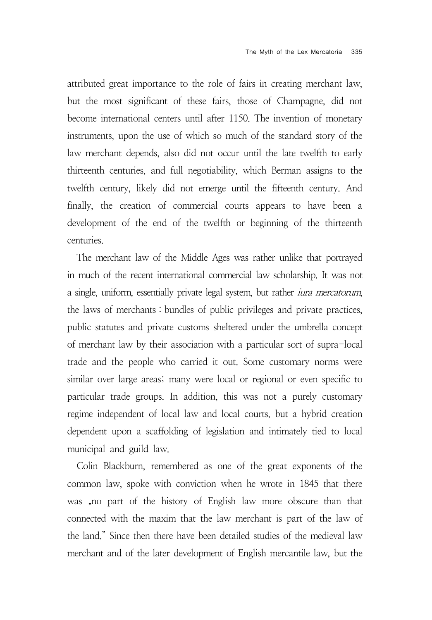attributed great importance to the role of fairs in creating merchant law, but the most significant of these fairs, those of Champagne, did not become international centers until after 1150. The invention of monetary instruments, upon the use of which so much of the standard story of the law merchant depends, also did not occur until the late twelfth to early thirteenth centuries, and full negotiability, which Berman assigns to the twelfth century, likely did not emerge until the fifteenth century. And finally, the creation of commercial courts appears to have been a development of the end of the twelfth or beginning of the thirteenth centuries.

The merchant law of the Middle Ages was rather unlike that portrayed in much of the recent international commercial law scholarship. It was not a single, uniform, essentially private legal system, but rather iura mercatorum, the laws of merchants : bundles of public privileges and private practices, public statutes and private customs sheltered under the umbrella concept of merchant law by their association with a particular sort of supra-local trade and the people who carried it out. Some customary norms were similar over large areas; many were local or regional or even specific to particular trade groups. In addition, this was not a purely customary regime independent of local law and local courts, but a hybrid creation dependent upon a scaffolding of legislation and intimately tied to local municipal and guild law.

Colin Blackburn, remembered as one of the great exponents of the common law, spoke with conviction when he wrote in 1845 that there was "no part of the history of English law more obscure than that connected with the maxim that the law merchant is part of the law of the land." Since then there have been detailed studies of the medieval law merchant and of the later development of English mercantile law, but the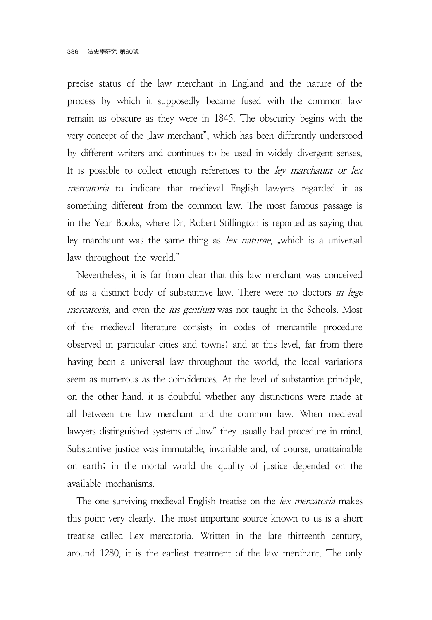precise status of the law merchant in England and the nature of the process by which it supposedly became fused with the common law remain as obscure as they were in 1845. The obscurity begins with the very concept of the "law merchant", which has been differently understood by different writers and continues to be used in widely divergent senses. It is possible to collect enough references to the *ley marchaunt or lex* mercatoria to indicate that medieval English lawyers regarded it as something different from the common law. The most famous passage is in the Year Books, where Dr. Robert Stillington is reported as saying that ley marchaunt was the same thing as *lex naturae*, "which is a universal law throughout the world."

Nevertheless, it is far from clear that this law merchant was conceived of as a distinct body of substantive law. There were no doctors in lege mercatoria, and even the *ius gentium* was not taught in the Schools. Most of the medieval literature consists in codes of mercantile procedure observed in particular cities and towns; and at this level, far from there having been a universal law throughout the world, the local variations seem as numerous as the coincidences. At the level of substantive principle, on the other hand, it is doubtful whether any distinctions were made at all between the law merchant and the common law. When medieval lawyers distinguished systems of "law" they usually had procedure in mind. Substantive justice was immutable, invariable and, of course, unattainable on earth; in the mortal world the quality of justice depended on the available mechanisms.

The one surviving medieval English treatise on the *lex mercatoria* makes this point very clearly. The most important source known to us is a short treatise called Lex mercatoria. Written in the late thirteenth century, around 1280, it is the earliest treatment of the law merchant. The only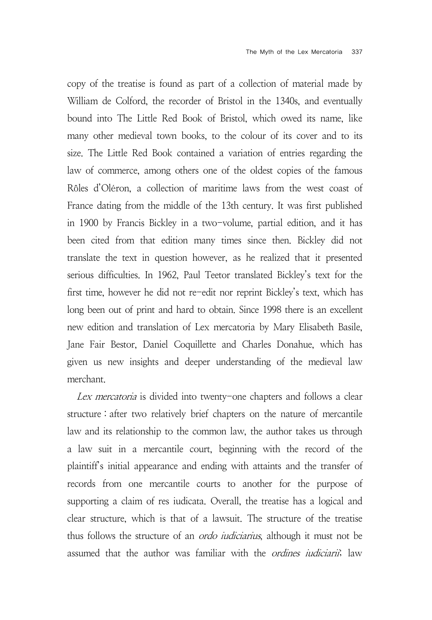copy of the treatise is found as part of a collection of material made by William de Colford, the recorder of Bristol in the 1340s, and eventually bound into The Little Red Book of Bristol, which owed its name, like many other medieval town books, to the colour of its cover and to its size. The Little Red Book contained a variation of entries regarding the law of commerce, among others one of the oldest copies of the famous Rôles d'Oléron, a collection of maritime laws from the west coast of France dating from the middle of the 13th century. It was first published in 1900 by Francis Bickley in a two-volume, partial edition, and it has been cited from that edition many times since then. Bickley did not translate the text in question however, as he realized that it presented serious difficulties. In 1962, Paul Teetor translated Bickley's text for the first time, however he did not re-edit nor reprint Bickley's text, which has long been out of print and hard to obtain. Since 1998 there is an excellent new edition and translation of Lex mercatoria by Mary Elisabeth Basile, Jane Fair Bestor, Daniel Coquillette and Charles Donahue, which has given us new insights and deeper understanding of the medieval law merchant.

Lex mercatoria is divided into twenty-one chapters and follows a clear structure : after two relatively brief chapters on the nature of mercantile law and its relationship to the common law, the author takes us through a law suit in a mercantile court, beginning with the record of the plaintiff's initial appearance and ending with attaints and the transfer of records from one mercantile courts to another for the purpose of supporting a claim of res iudicata. Overall, the treatise has a logical and clear structure, which is that of a lawsuit. The structure of the treatise thus follows the structure of an *ordo judiciarius*, although it must not be assumed that the author was familiar with the *ordines iudiciarii*; law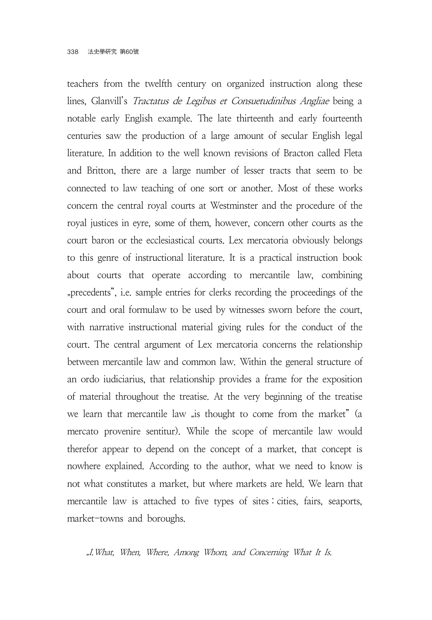teachers from the twelfth century on organized instruction along these lines, Glanvill's Tractatus de Legibus et Consuetudinibus Angliae being a notable early English example. The late thirteenth and early fourteenth centuries saw the production of a large amount of secular English legal literature. In addition to the well known revisions of Bracton called Fleta and Britton, there are a large number of lesser tracts that seem to be connected to law teaching of one sort or another. Most of these works concern the central royal courts at Westminster and the procedure of the royal justices in eyre, some of them, however, concern other courts as the court baron or the ecclesiastical courts. Lex mercatoria obviously belongs to this genre of instructional literature. It is a practical instruction book about courts that operate according to mercantile law, combining "precedents", i.e. sample entries for clerks recording the proceedings of the court and oral formulaw to be used by witnesses sworn before the court, with narrative instructional material giving rules for the conduct of the court. The central argument of Lex mercatoria concerns the relationship between mercantile law and common law. Within the general structure of an ordo iudiciarius, that relationship provides a frame for the exposition of material throughout the treatise. At the very beginning of the treatise we learn that mercantile law "is thought to come from the market" (a mercato provenire sentitur). While the scope of mercantile law would therefor appear to depend on the concept of a market, that concept is nowhere explained. According to the author, what we need to know is not what constitutes a market, but where markets are held. We learn that mercantile law is attached to five types of sites : cities, fairs, seaports, market-towns and boroughs.

"I.What, When, Where, Among Whom, and Concerning What It Is.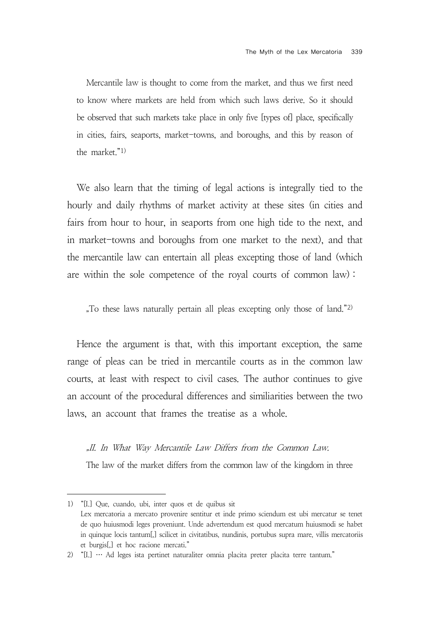Mercantile law is thought to come from the market, and thus we first need to know where markets are held from which such laws derive. So it should be observed that such markets take place in only five [types of] place, specifically in cities, fairs, seaports, market-towns, and boroughs, and this by reason of the market."1)

We also learn that the timing of legal actions is integrally tied to the hourly and daily rhythms of market activity at these sites (in cities and fairs from hour to hour, in seaports from one high tide to the next, and in market-towns and boroughs from one market to the next), and that the mercantile law can entertain all pleas excepting those of land (which are within the sole competence of the royal courts of common law) :

"To these laws naturally pertain all pleas excepting only those of land."2)

Hence the argument is that, with this important exception, the same range of pleas can be tried in mercantile courts as in the common law courts, at least with respect to civil cases. The author continues to give an account of the procedural differences and similiarities between the two laws, an account that frames the treatise as a whole.

"II. In What Way Mercantile Law Differs from the Common Law.

The law of the market differs from the common law of the kingdom in three

<sup>1) &</sup>quot;[I.] Que, cuando, ubi, inter quos et de quibus sit Lex mercatoria a mercato provenire sentitur et inde primo sciendum est ubi mercatur se tenet de quo huiusmodi leges proveniunt. Unde advertendum est quod mercatum huiusmodi se habet in quinque locis tantum[,] scilicet in civitatibus, nundinis, portubus supra mare, villis mercatoriis et burgis[,] et hoc racione mercati."

<sup>2) &</sup>quot;[I.] … Ad leges ista pertinet naturaliter omnia placita preter placita terre tantum."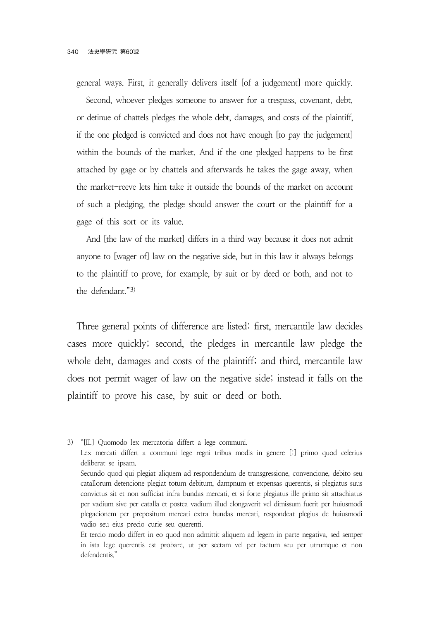general ways. First, it generally delivers itself [of a judgement] more quickly.

Second, whoever pledges someone to answer for a trespass, covenant, debt, or detinue of chattels pledges the whole debt, damages, and costs of the plaintiff, if the one pledged is convicted and does not have enough [to pay the judgement] within the bounds of the market. And if the one pledged happens to be first attached by gage or by chattels and afterwards he takes the gage away, when the market-reeve lets him take it outside the bounds of the market on account of such a pledging, the pledge should answer the court or the plaintiff for a gage of this sort or its value.

And [the law of the market] differs in a third way because it does not admit anyone to [wager of] law on the negative side, but in this law it always belongs to the plaintiff to prove, for example, by suit or by deed or both, and not to the defendant."3)

Three general points of difference are listed: first, mercantile law decides cases more quickly; second, the pledges in mercantile law pledge the whole debt, damages and costs of the plaintiff; and third, mercantile law does not permit wager of law on the negative side; instead it falls on the plaintiff to prove his case, by suit or deed or both.

3) "[II.] Quomodo lex mercatoria differt a lege communi. Lex mercati differt a communi lege regni tribus modis in genere [:] primo quod celerius deliberat se ipsam. Secundo quod qui plegiat aliquem ad respondendum de transgressione, convencione, debito seu catallorum detencione plegiat totum debitum, dampnum et expensas querentis, si plegiatus suus convictus sit et non sufficiat infra bundas mercati, et si forte plegiatus ille primo sit attachiatus per vadium sive per catalla et postea vadium illud elongaverit vel dimissum fuerit per huiusmodi plegacionem per prepositum mercati extra bundas mercati, respondeat plegius de huiusmodi vadio seu eius precio curie seu querenti.

Et tercio modo differt in eo quod non admittit aliquem ad legem in parte negativa, sed semper in ista lege querentis est probare, ut per sectam vel per factum seu per utrumque et non defendentis."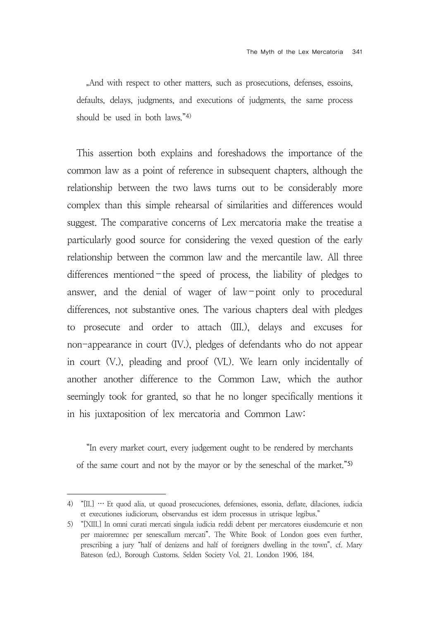"And with respect to other matters, such as prosecutions, defenses, essoins, defaults, delays, judgments, and executions of judgments, the same process should be used in both laws."4)

This assertion both explains and foreshadows the importance of the common law as a point of reference in subsequent chapters, although the relationship between the two laws turns out to be considerably more complex than this simple rehearsal of similarities and differences would suggest. The comparative concerns of Lex mercatoria make the treatise a particularly good source for considering the vexed question of the early relationship between the common law and the mercantile law. All three differences mentioned-the speed of process, the liability of pledges to answer, and the denial of wager of law-point only to procedural differences, not substantive ones. The various chapters deal with pledges to prosecute and order to attach (III.), delays and excuses for non-appearance in court (IV.), pledges of defendants who do not appear in court (V.), pleading and proof (VI.). We learn only incidentally of another another difference to the Common Law, which the author seemingly took for granted, so that he no longer specifically mentions it in his juxtaposition of lex mercatoria and Common Law:

"In every market court, every judgement ought to be rendered by merchants of the same court and not by the mayor or by the seneschal of the market."5)

<sup>4) &</sup>quot;[II.] … Et quod alia, ut quoad prosecuciones, defensiones, essonia, deflate, dilaciones, iudicia et executiones iudiciorum, observandus est idem processus in utrisque legibus."

<sup>5) &</sup>quot;[XIII.] In omni curati mercati singula iudicia reddi debent per mercatores eiusdemcurie et non per maioremnec per senescallum mercati". The White Book of London goes even further, prescribing a jury "half of denizens and half of foreigners dwelling in the town", cf. Mary Bateson (ed.), Borough Customs. Selden Society Vol. 21. London 1906, 184.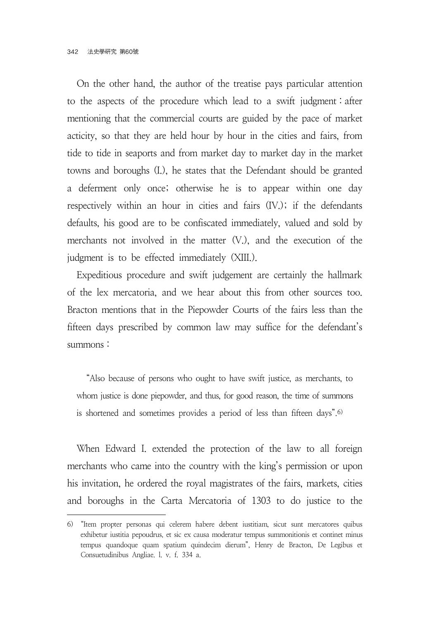On the other hand, the author of the treatise pays particular attention to the aspects of the procedure which lead to a swift judgment : after mentioning that the commercial courts are guided by the pace of market acticity, so that they are held hour by hour in the cities and fairs, from tide to tide in seaports and from market day to market day in the market towns and boroughs (I.), he states that the Defendant should be granted a deferment only once; otherwise he is to appear within one day respectively within an hour in cities and fairs (IV.); if the defendants defaults, his good are to be confiscated immediately, valued and sold by merchants not involved in the matter (V.), and the execution of the judgment is to be effected immediately (XIII.).

Expeditious procedure and swift judgement are certainly the hallmark of the lex mercatoria, and we hear about this from other sources too. Bracton mentions that in the Piepowder Courts of the fairs less than the fifteen days prescribed by common law may suffice for the defendant's summons :

"Also because of persons who ought to have swift justice, as merchants, to whom justice is done piepowder, and thus, for good reason, the time of summons is shortened and sometimes provides a period of less than fifteen days".6)

When Edward I. extended the protection of the law to all foreign merchants who came into the country with the king's permission or upon his invitation, he ordered the royal magistrates of the fairs, markets, cities and boroughs in the Carta Mercatoria of 1303 to do justice to the

<sup>6) &</sup>quot;Item propter personas qui celerem habere debent iustitiam, sicut sunt mercatores quibus exhibetur iustitia pepoudrus, et sic ex causa moderatur tempus summonitionis et continet minus tempus quandoque quam spatium quindecim dierum", Henry de Bracton, De Legibus et Consuetudinibus Angliae. l. v. f. 334 a.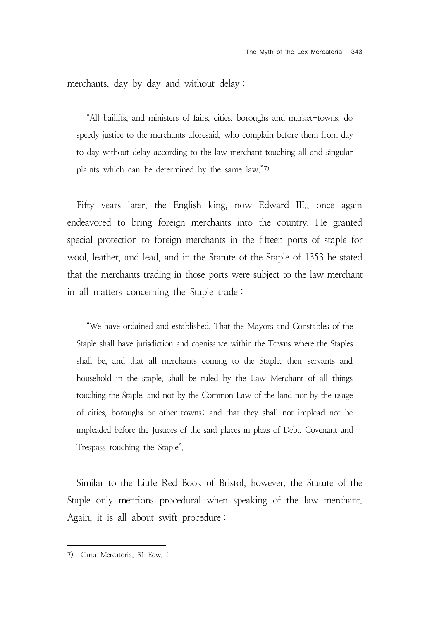merchants, day by day and without delay :

"All bailiffs, and ministers of fairs, cities, boroughs and market-towns, do speedy justice to the merchants aforesaid, who complain before them from day to day without delay according to the law merchant touching all and singular plaints which can be determined by the same law."7)

Fifty years later, the English king, now Edward III., once again endeavored to bring foreign merchants into the country. He granted special protection to foreign merchants in the fifteen ports of staple for wool, leather, and lead, and in the Statute of the Staple of 1353 he stated that the merchants trading in those ports were subject to the law merchant in all matters concerning the Staple trade :

"We have ordained and established, That the Mayors and Constables of the Staple shall have jurisdiction and cognisance within the Towns where the Staples shall be, and that all merchants coming to the Staple, their servants and household in the staple, shall be ruled by the Law Merchant of all things touching the Staple, and not by the Common Law of the land nor by the usage of cities, boroughs or other towns; and that they shall not implead not be impleaded before the Justices of the said places in pleas of Debt, Covenant and Trespass touching the Staple".

Similar to the Little Red Book of Bristol, however, the Statute of the Staple only mentions procedural when speaking of the law merchant. Again, it is all about swift procedure :

<sup>7)</sup> Carta Mercatoria, 31 Edw. I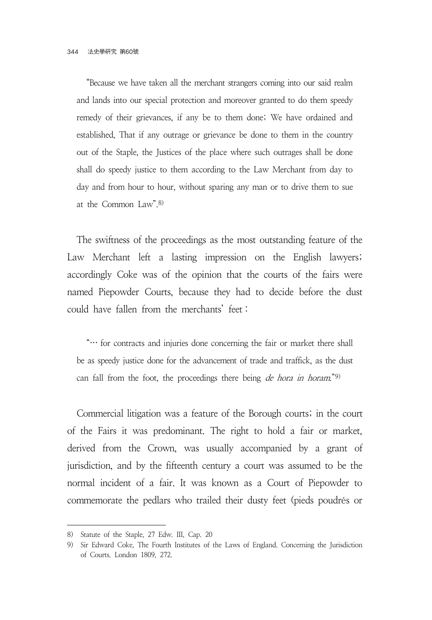"Because we have taken all the merchant strangers coming into our said realm and lands into our special protection and moreover granted to do them speedy remedy of their grievances, if any be to them done; We have ordained and established, That if any outrage or grievance be done to them in the country out of the Staple, the Justices of the place where such outrages shall be done shall do speedy justice to them according to the Law Merchant from day to day and from hour to hour, without sparing any man or to drive them to sue at the Common Law".8)

The swiftness of the proceedings as the most outstanding feature of the Law Merchant left a lasting impression on the English lawyers; accordingly Coke was of the opinion that the courts of the fairs were named Piepowder Courts, because they had to decide before the dust could have fallen from the merchants' feet :

"… for contracts and injuries done concerning the fair or market there shall be as speedy justice done for the advancement of trade and traffick, as the dust can fall from the foot, the proceedings there being *de hora in horam*."<sup>9)</sup>

Commercial litigation was a feature of the Borough courts; in the court of the Fairs it was predominant. The right to hold a fair or market, derived from the Crown, was usually accompanied by a grant of jurisdiction, and by the fifteenth century a court was assumed to be the normal incident of a fair. It was known as a Court of Piepowder to commemorate the pedlars who trailed their dusty feet (pieds poudrés or

<sup>8)</sup> Statute of the Staple, 27 Edw. III, Cap. 20

<sup>9)</sup> Sir Edward Coke, The Fourth Institutes of the Laws of England. Concerning the Jurisdiction of Courts. London 1809, 272.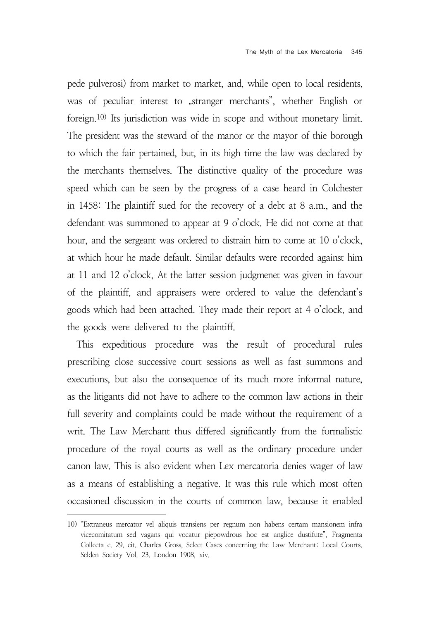pede pulverosi) from market to market, and, while open to local residents, was of peculiar interest to "stranger merchants", whether English or foreign.10) Its jurisdiction was wide in scope and without monetary limit. The president was the steward of the manor or the mayor of thie borough to which the fair pertained, but, in its high time the law was declared by the merchants themselves. The distinctive quality of the procedure was speed which can be seen by the progress of a case heard in Colchester in 1458: The plaintiff sued for the recovery of a debt at 8 a.m., and the defendant was summoned to appear at 9 o'clock. He did not come at that hour, and the sergeant was ordered to distrain him to come at 10 o'clock, at which hour he made default. Similar defaults were recorded against him at 11 and 12 o'clock, At the latter session judgmenet was given in favour of the plaintiff, and appraisers were ordered to value the defendant's goods which had been attached. They made their report at 4 o'clock, and the goods were delivered to the plaintiff.

This expeditious procedure was the result of procedural rules prescribing close successive court sessions as well as fast summons and executions, but also the consequence of its much more informal nature, as the litigants did not have to adhere to the common law actions in their full severity and complaints could be made without the requirement of a writ. The Law Merchant thus differed significantly from the formalistic procedure of the royal courts as well as the ordinary procedure under canon law. This is also evident when Lex mercatoria denies wager of law as a means of establishing a negative. It was this rule which most often occasioned discussion in the courts of common law, because it enabled

<sup>10) &</sup>quot;Extraneus mercator vel aliquis transiens per regnum non habens certam mansionem infra vicecomitatum sed vagans qui vocatur piepowdrous hoc est anglice dustifute", Fragmenta Collecta c. 29, cit. Charles Gross, Select Cases concerning the Law Merchant: Local Courts. Selden Society Vol. 23. London 1908, xiv.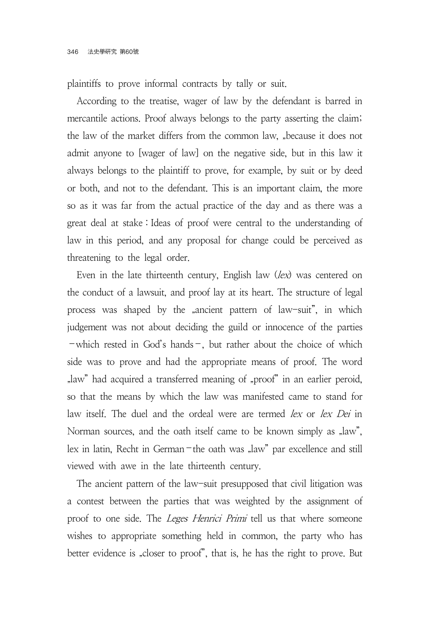plaintiffs to prove informal contracts by tally or suit.

According to the treatise, wager of law by the defendant is barred in mercantile actions. Proof always belongs to the party asserting the claim; the law of the market differs from the common law, "because it does not admit anyone to [wager of law] on the negative side, but in this law it always belongs to the plaintiff to prove, for example, by suit or by deed or both, and not to the defendant. This is an important claim, the more so as it was far from the actual practice of the day and as there was a great deal at stake : Ideas of proof were central to the understanding of law in this period, and any proposal for change could be perceived as threatening to the legal order.

Even in the late thirteenth century, English law (lex) was centered on the conduct of a lawsuit, and proof lay at its heart. The structure of legal process was shaped by the "ancient pattern of law-suit", in which judgement was not about deciding the guild or innocence of the parties  $-$ which rested in God's hands $-$ , but rather about the choice of which side was to prove and had the appropriate means of proof. The word ", law" had acquired a transferred meaning of "proof" in an earlier peroid, so that the means by which the law was manifested came to stand for law itself. The duel and the ordeal were are termed lex or lex Dei in Norman sources, and the oath itself came to be known simply as "law", lex in latin, Recht in German-the oath was "law" par excellence and still viewed with awe in the late thirteenth century.

The ancient pattern of the law-suit presupposed that civil litigation was a contest between the parties that was weighted by the assignment of proof to one side. The *Leges Henrici Primi* tell us that where someone wishes to appropriate something held in common, the party who has better evidence is "closer to proof", that is, he has the right to prove. But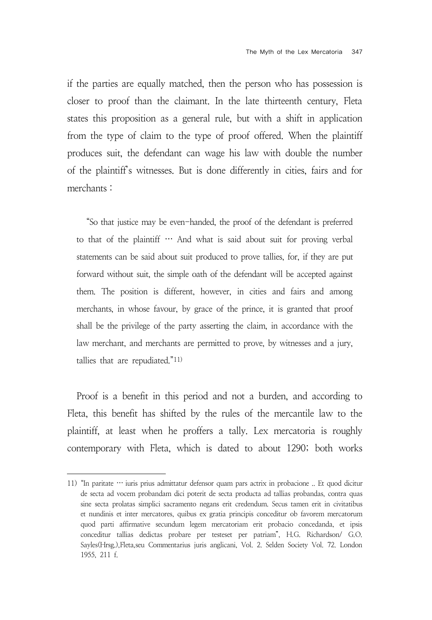if the parties are equally matched, then the person who has possession is closer to proof than the claimant. In the late thirteenth century, Fleta states this proposition as a general rule, but with a shift in application from the type of claim to the type of proof offered. When the plaintiff produces suit, the defendant can wage his law with double the number of the plaintiff's witnesses. But is done differently in cities, fairs and for merchants :

"So that justice may be even-handed, the proof of the defendant is preferred to that of the plaintiff … And what is said about suit for proving verbal statements can be said about suit produced to prove tallies, for, if they are put forward without suit, the simple oath of the defendant will be accepted against them. The position is different, however, in cities and fairs and among merchants, in whose favour, by grace of the prince, it is granted that proof shall be the privilege of the party asserting the claim, in accordance with the law merchant, and merchants are permitted to prove, by witnesses and a jury, tallies that are repudiated."11)

Proof is a benefit in this period and not a burden, and according to Fleta, this benefit has shifted by the rules of the mercantile law to the plaintiff, at least when he proffers a tally. Lex mercatoria is roughly contemporary with Fleta, which is dated to about 1290; both works

<sup>11) &</sup>quot;In paritate … iuris prius admittatur defensor quam pars actrix in probacione .. Et quod dicitur de secta ad vocem probandam dici poterit de secta producta ad tallias probandas, contra quas sine secta prolatas simplici sacramento negans erit credendum. Secus tamen erit in civitatibus et nundinis et inter mercatores, quibus ex gratia principis conceditur ob favorem mercatorum quod parti affirmative secundum legem mercatoriam erit probacio concedanda, et ipsis conceditur tallias dedictas probare per testeset per patriam", H.G. Richardson/ G.O. Sayles(Hrsg.),Fleta,seu Commentarius juris anglicani, Vol. 2. Selden Society Vol. 72. London 1955, 211 f.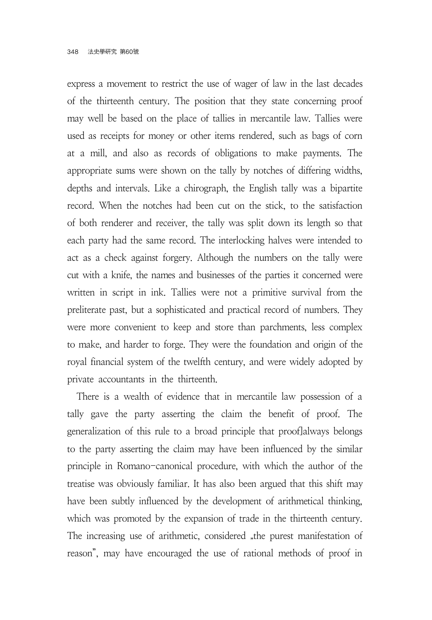express a movement to restrict the use of wager of law in the last decades of the thirteenth century. The position that they state concerning proof may well be based on the place of tallies in mercantile law. Tallies were used as receipts for money or other items rendered, such as bags of corn at a mill, and also as records of obligations to make payments. The appropriate sums were shown on the tally by notches of differing widths, depths and intervals. Like a chirograph, the English tally was a bipartite record. When the notches had been cut on the stick, to the satisfaction of both renderer and receiver, the tally was split down its length so that each party had the same record. The interlocking halves were intended to act as a check against forgery. Although the numbers on the tally were cut with a knife, the names and businesses of the parties it concerned were written in script in ink. Tallies were not a primitive survival from the preliterate past, but a sophisticated and practical record of numbers. They were more convenient to keep and store than parchments, less complex to make, and harder to forge. They were the foundation and origin of the royal financial system of the twelfth century, and were widely adopted by private accountants in the thirteenth.

There is a wealth of evidence that in mercantile law possession of a tally gave the party asserting the claim the benefit of proof. The generalization of this rule to a broad principle that proof]always belongs to the party asserting the claim may have been influenced by the similar principle in Romano-canonical procedure, with which the author of the treatise was obviously familiar. It has also been argued that this shift may have been subtly influenced by the development of arithmetical thinking, which was promoted by the expansion of trade in the thirteenth century. The increasing use of arithmetic, considered "the purest manifestation of reason", may have encouraged the use of rational methods of proof in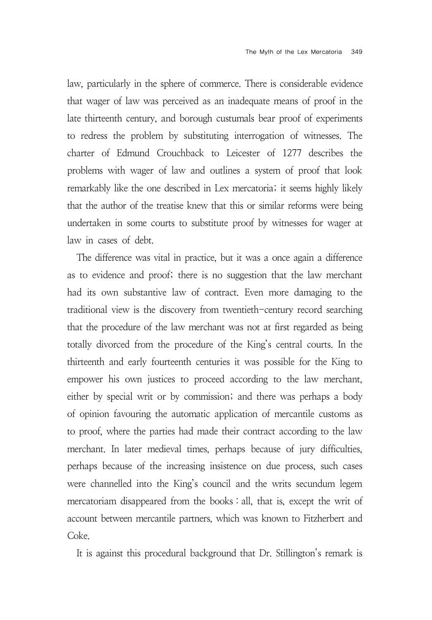law, particularly in the sphere of commerce. There is considerable evidence that wager of law was perceived as an inadequate means of proof in the late thirteenth century, and borough custumals bear proof of experiments to redress the problem by substituting interrogation of witnesses. The charter of Edmund Crouchback to Leicester of 1277 describes the problems with wager of law and outlines a system of proof that look remarkably like the one described in Lex mercatoria; it seems highly likely that the author of the treatise knew that this or similar reforms were being undertaken in some courts to substitute proof by witnesses for wager at law in cases of debt.

The difference was vital in practice, but it was a once again a difference as to evidence and proof; there is no suggestion that the law merchant had its own substantive law of contract. Even more damaging to the traditional view is the discovery from twentieth-century record searching that the procedure of the law merchant was not at first regarded as being totally divorced from the procedure of the King's central courts. In the thirteenth and early fourteenth centuries it was possible for the King to empower his own justices to proceed according to the law merchant, either by special writ or by commission; and there was perhaps a body of opinion favouring the automatic application of mercantile customs as to proof, where the parties had made their contract according to the law merchant. In later medieval times, perhaps because of jury difficulties, perhaps because of the increasing insistence on due process, such cases were channelled into the King's council and the writs secundum legem mercatoriam disappeared from the books : all, that is, except the writ of account between mercantile partners, which was known to Fitzherbert and Coke.

It is against this procedural background that Dr. Stillington's remark is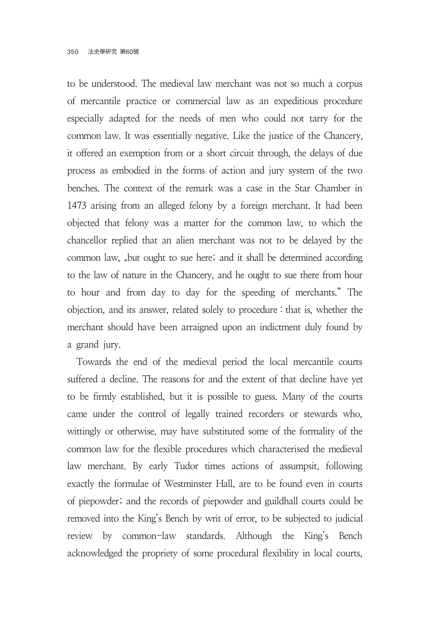to be understood. The medieval law merchant was not so much a corpus of mercantile practice or commercial law as an expeditious procedure especially adapted for the needs of men who could not tarry for the common law. It was essentially negative. Like the justice of the Chancery, it offered an exemption from or a short circuit through, the delays of due process as embodied in the forms of action and jury system of the two benches. The context of the remark was a case in the Star Chamber in 1473 arising from an alleged felony by a foreign merchant. It had been objected that felony was a matter for the common law, to which the chancellor replied that an alien merchant was not to be delayed by the common law, "but ought to sue here; and it shall be determined according to the law of nature in the Chancery, and he ought to sue there from hour to hour and from day to day for the speeding of merchants." The objection, and its answer, related solely to procedure : that is, whether the merchant should have been arraigned upon an indictment duly found by a grand jury.

Towards the end of the medieval period the local mercantile courts suffered a decline. The reasons for and the extent of that decline have yet to be firmly established, but it is possible to guess. Many of the courts came under the control of legally trained recorders or stewards who, wittingly or otherwise, may have substituted some of the formality of the common law for the flexible procedures which characterised the medieval law merchant. By early Tudor times actions of assumpsit, following exactly the formulae of Westminster Hall, are to be found even in courts of piepowder; and the records of piepowder and guildhall courts could be removed into the King's Bench by writ of error, to be subjected to judicial review by common-law standards. Although the King's Bench acknowledged the propriety of some procedural flexibility in local courts,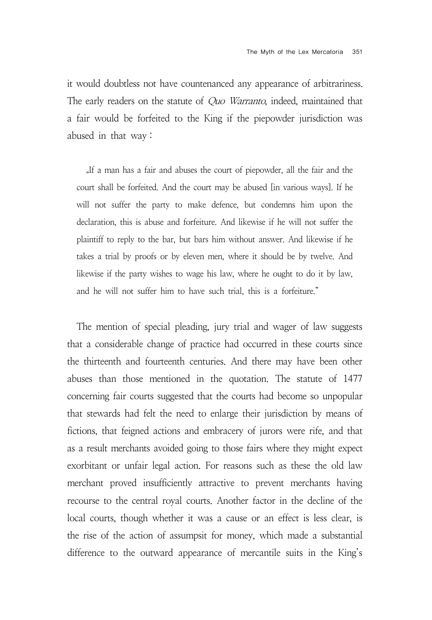it would doubtless not have countenanced any appearance of arbitrariness. The early readers on the statute of *Quo Warranto*, indeed, maintained that a fair would be forfeited to the King if the piepowder jurisdiction was abused in that way :

"If a man has a fair and abuses the court of piepowder, all the fair and the court shall be forfeited. And the court may be abused [in various ways]. If he will not suffer the party to make defence, but condemns him upon the declaration, this is abuse and forfeiture. And likewise if he will not suffer the plaintiff to reply to the bar, but bars him without answer. And likewise if he takes a trial by proofs or by eleven men, where it should be by twelve. And likewise if the party wishes to wage his law, where he ought to do it by law, and he will not suffer him to have such trial, this is a forfeiture."

The mention of special pleading, jury trial and wager of law suggests that a considerable change of practice had occurred in these courts since the thirteenth and fourteenth centuries. And there may have been other abuses than those mentioned in the quotation. The statute of 1477 concerning fair courts suggested that the courts had become so unpopular that stewards had felt the need to enlarge their jurisdiction by means of fictions, that feigned actions and embracery of jurors were rife, and that as a result merchants avoided going to those fairs where they might expect exorbitant or unfair legal action. For reasons such as these the old law merchant proved insufficiently attractive to prevent merchants having recourse to the central royal courts. Another factor in the decline of the local courts, though whether it was a cause or an effect is less clear, is the rise of the action of assumpsit for money, which made a substantial difference to the outward appearance of mercantile suits in the King's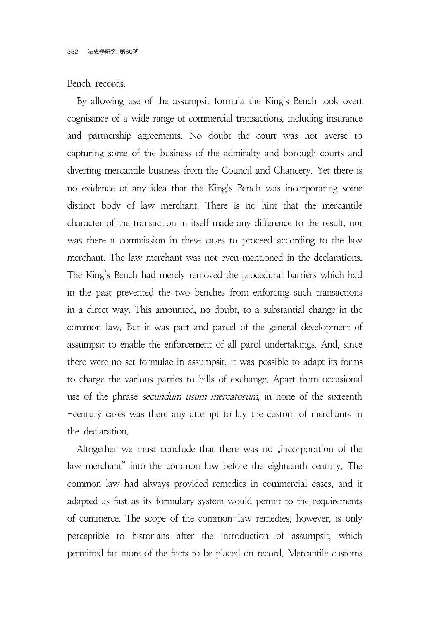Bench records.

By allowing use of the assumpsit formula the King's Bench took overt cognisance of a wide range of commercial transactions, including insurance and partnership agreements. No doubt the court was not averse to capturing some of the business of the admiralty and borough courts and diverting mercantile business from the Council and Chancery. Yet there is no evidence of any idea that the King's Bench was incorporating some distinct body of law merchant. There is no hint that the mercantile character of the transaction in itself made any difference to the result, nor was there a commission in these cases to proceed according to the law merchant. The law merchant was not even mentioned in the declarations. The King's Bench had merely removed the procedural barriers which had in the past prevented the two benches from enforcing such transactions in a direct way. This amounted, no doubt, to a substantial change in the common law. But it was part and parcel of the general development of assumpsit to enable the enforcement of all parol undertakings. And, since there were no set formulae in assumpsit, it was possible to adapt its forms to charge the various parties to bills of exchange. Apart from occasional use of the phrase *secundum usum mercatorum*, in none of the sixteenth -century cases was there any attempt to lay the custom of merchants in the declaration.

Altogether we must conclude that there was no "incorporation of the law merchant" into the common law before the eighteenth century. The common law had always provided remedies in commercial cases, and it adapted as fast as its formulary system would permit to the requirements of commerce. The scope of the common-law remedies, however, is only perceptible to historians after the introduction of assumpsit, which permitted far more of the facts to be placed on record. Mercantile customs